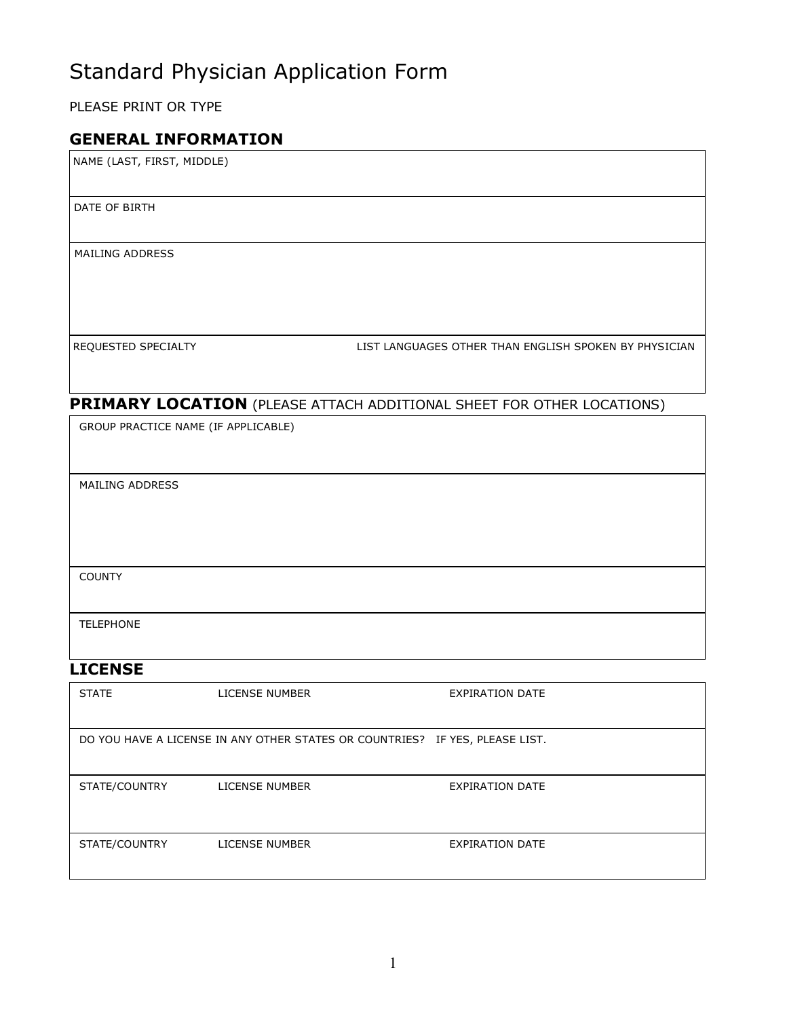# Standard Physician Application Form

PLEASE PRINT OR TYPE

### GENERAL INFORMATION

NAME (LAST, FIRST, MIDDLE)

DATE DATE OF BIRTH

MAILING ADDRESS

REQUESTED SPECIALTY **Example 20 THES** LIST LANGUAGES OTHER THAN ENGLISH SPOKEN BY PHYSICIAN

### PRIMARY LOCATION (PLEASE ATTACH ADDITIONAL SHEET FOR OTHER LOCATIONS)

| GROUP PRACTICE NAME (IF APPLICABLE) |  |  |
|-------------------------------------|--|--|
|                                     |  |  |
| MAILING ADDRESS                     |  |  |
|                                     |  |  |
|                                     |  |  |
|                                     |  |  |
| <b>COUNTY</b>                       |  |  |
| <b>TELEPHONE</b>                    |  |  |
|                                     |  |  |

## **LICENSE**

| <b>STATE</b>  | LICENSE NUMBER                                                               | <b>EXPIRATION DATE</b> |
|---------------|------------------------------------------------------------------------------|------------------------|
|               | DO YOU HAVE A LICENSE IN ANY OTHER STATES OR COUNTRIES? IF YES, PLEASE LIST. |                        |
| STATE/COUNTRY | LICENSE NUMBER                                                               | EXPIRATION DATE        |
| STATE/COUNTRY | <b>LICENSE NUMBER</b>                                                        | <b>EXPIRATION DATE</b> |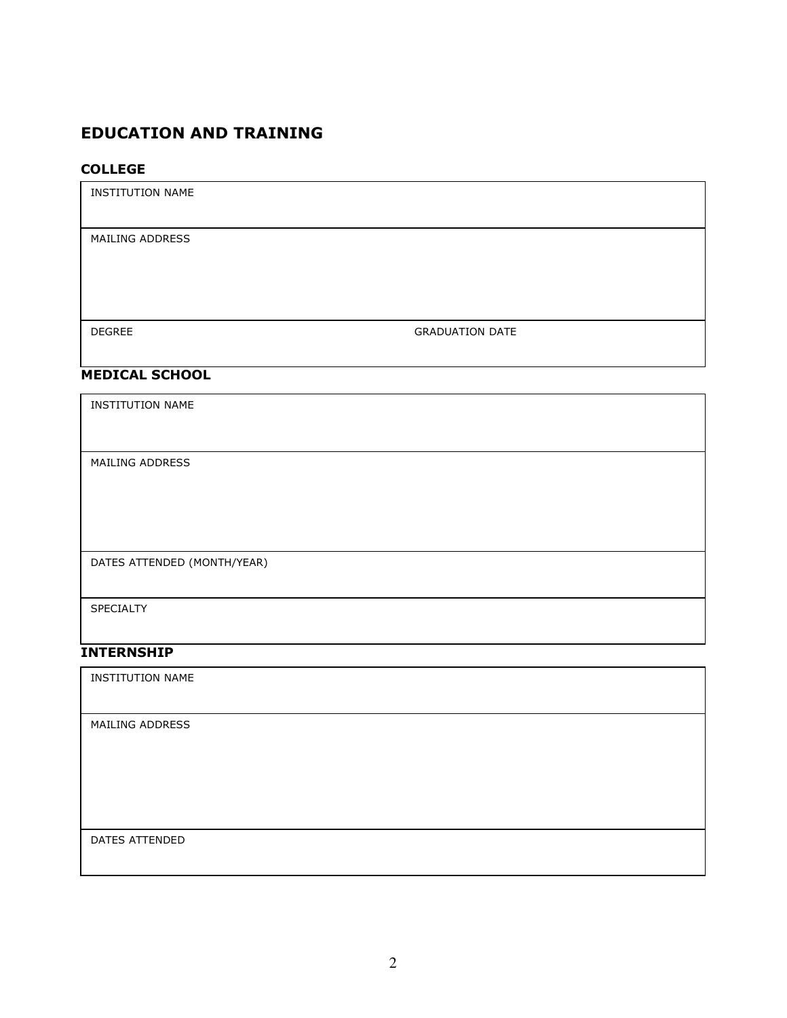## EDUCATION AND TRAINING

#### COLLEGE

| <b>INSTITUTION NAME</b>     |                        |  |
|-----------------------------|------------------------|--|
| MAILING ADDRESS             |                        |  |
|                             |                        |  |
| <b>DEGREE</b>               | <b>GRADUATION DATE</b> |  |
| <b>MEDICAL SCHOOL</b>       |                        |  |
| <b>INSTITUTION NAME</b>     |                        |  |
|                             |                        |  |
| MAILING ADDRESS             |                        |  |
|                             |                        |  |
| DATES ATTENDED (MONTH/YEAR) |                        |  |
|                             |                        |  |
| SPECIALTY                   |                        |  |
| <b>INTERNSHIP</b>           |                        |  |

INSTITUTION NAME

MAILING ADDRESS

DATES ATTENDED